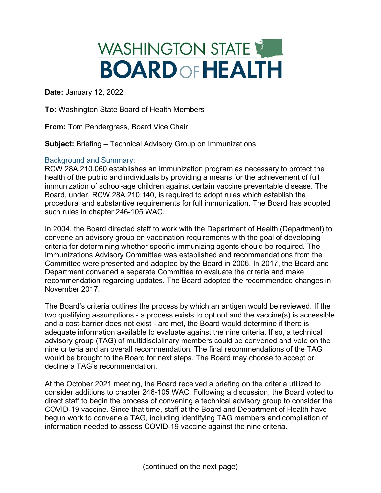## WASHINGTON STATE **BOARD OF HEALTH**

**Date:** January 12, 2022

**To:** Washington State Board of Health Members

**From:** Tom Pendergrass, Board Vice Chair

**Subject:** Briefing – Technical Advisory Group on Immunizations

## Background and Summary:

RCW 28A.210.060 establishes an immunization program as necessary to protect the health of the public and individuals by providing a means for the achievement of full immunization of school-age children against certain vaccine preventable disease. The Board, under, RCW 28A.210.140, is required to adopt rules which establish the procedural and substantive requirements for full immunization. The Board has adopted such rules in chapter 246-105 WAC.

In 2004, the Board directed staff to work with the Department of Health (Department) to convene an advisory group on vaccination requirements with the goal of developing criteria for determining whether specific immunizing agents should be required. The Immunizations Advisory Committee was established and recommendations from the Committee were presented and adopted by the Board in 2006. In 2017, the Board and Department convened a separate Committee to evaluate the criteria and make recommendation regarding updates. The Board adopted the recommended changes in November 2017.

The Board's criteria outlines the process by which an antigen would be reviewed. If the two qualifying assumptions - a process exists to opt out and the vaccine(s) is accessible and a cost-barrier does not exist - are met, the Board would determine if there is adequate information available to evaluate against the nine criteria. If so, a technical advisory group (TAG) of multidisciplinary members could be convened and vote on the nine criteria and an overall recommendation. The final recommendations of the TAG would be brought to the Board for next steps. The Board may choose to accept or decline a TAG's recommendation.

At the October 2021 meeting, the Board received a briefing on the criteria utilized to consider additions to chapter 246-105 WAC. Following a discussion, the Board voted to direct staff to begin the process of convening a technical advisory group to consider the COVID-19 vaccine. Since that time, staff at the Board and Department of Health have begun work to convene a TAG, including identifying TAG members and compilation of information needed to assess COVID-19 vaccine against the nine criteria.